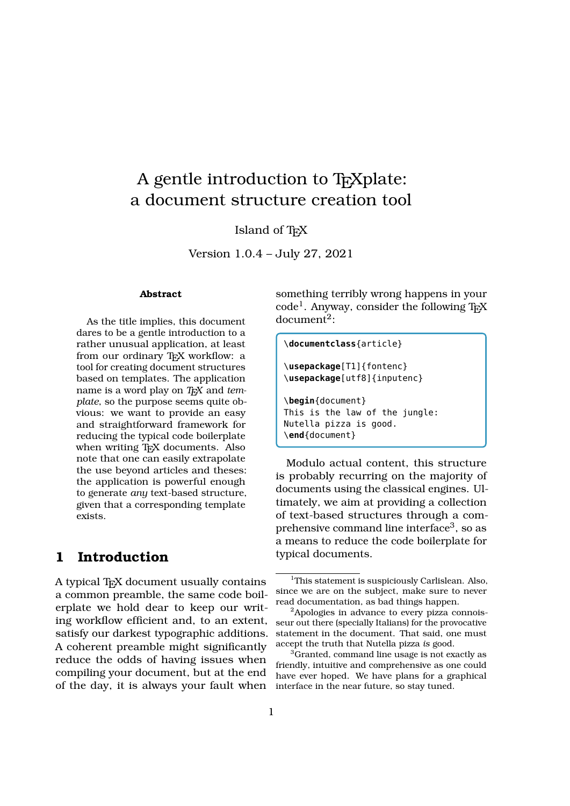# A gentle introduction to T<sub>E</sub>Xplate: a document structure creation tool

#### Island of T<sub>E</sub>X

Version 1.0.4 – July 27, 2021

#### **Abstract**

As the title implies, this document dares to be a gentle introduction to a rather unusual application, at least from our ordinary TFX workflow: a tool for creating document structures based on templates. The application name is a word play on TEX and tem*plate*, so the purpose seems quite obvious: we want to provide an easy and straightforward framework for reducing the typical code boilerplate when writing T<sub>E</sub>X documents. Also note that one can easily extrapolate the use beyond articles and theses: the application is powerful enough to generate *any* text-based structure, given that a corresponding template exists.

### **1 Introduction**

A typical T<sub>E</sub>X document usually contains a common preamble, the same code boilerplate we hold dear to keep our writing workflow efficient and, to an extent, satisfy our darkest typographic additions. A coherent preamble might significantly reduce the odds of having issues when compiling your document, but at the end of the day, it is always your fault when

something terribly wrong happens in your code<sup>1</sup>. Anyway, consider the following TEX  $document<sup>2</sup>:$ 

```
\documentclass{article}
```

```
\usepackage[T1]{fontenc}
\usepackage[utf8]{inputenc}
```

```
\begin{document}
This is the law of the jungle:
Nutella pizza is good.
\end{document}
```
Modulo actual content, this structure is probably recurring on the majority of documents using the classical engines. Ultimately, we aim at providing a collection of text-based structures through a comprehensive command line interface<sup>3</sup>, so as a means to reduce the code boilerplate for typical documents.

<sup>&</sup>lt;sup>1</sup>This statement is suspiciously Carlislean. Also, since we are on the subject, make sure to never read documentation, as bad things happen.

<sup>&</sup>lt;sup>2</sup>Apologies in advance to every pizza connoisseur out there (specially Italians) for the provocative statement in the document. That said, one must accept the truth that Nutella pizza *is* good.

<sup>&</sup>lt;sup>3</sup>Granted, command line usage is not exactly as friendly, intuitive and comprehensive as one could have ever hoped. We have plans for a graphical interface in the near future, so stay tuned.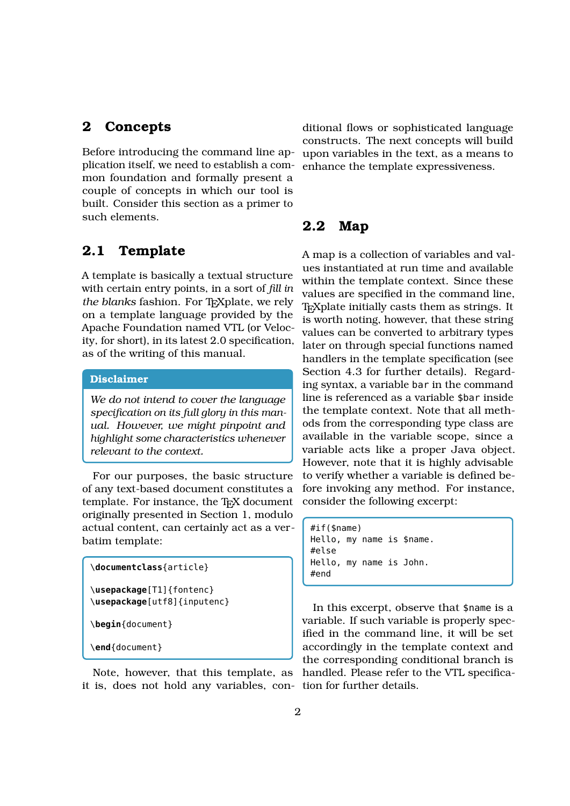### **2 Concepts**

Before introducing the command line application itself, we need to establish a common foundation and formally present a couple of concepts in which our tool is built. Consider this section as a primer to such elements.

### **2.1 Template**

A template is basically a textual structure with certain entry points, in a sort of *fill in* the blanks fashion. For T<sub>E</sub>Xplate, we rely on a template language provided by the Apache Foundation named VTL (or Velocity, for short), in its latest 2.0 specification, as of the writing of this manual.

#### **Disclaimer**

*We do not intend to cover the language specification on its full glory in this manual. However, we might pinpoint and highlight some characteristics whenever relevant to the context.*

For our purposes, the basic structure of any text-based document constitutes a template. For instance, the T<sub>E</sub>X document originally presented in Section 1, modulo actual content, can certainly act as a verbatim template:

```
\documentclass{article}
\usepackage[T1]{fontenc}
\usepackage[utf8]{inputenc}
```
\**begin**{document}

\**end**{document}

Note, however, that this template, as it is, does not hold any variables, con-tion for further details.

ditional flows or sophisticated language constructs. The next concepts will build upon variables in the text, as a means to enhance the template expressiveness.

#### **2.2 Map**

A map is a collection of variables and values instantiated at run time and available within the template context. Since these values are specified in the command line, T<sub>E</sub>Xplate initially casts them as strings. It is worth noting, however, that these string values can be converted to arbitrary types later on through special functions named handlers in the template specification (see Section 4.3 for further details). Regarding syntax, a variable bar in the command line is referenced as a variable \$bar inside the template context. Note that all methods from the corresponding type class are available in the variable scope, since a variable acts like a proper Java object. However, note that it is highly advisable to verify whether a variable is defined before invoking any method. For instance, consider the following excerpt:

#if(\$name) Hello, my name is \$name. #else Hello, my name is John. #end

In this excerpt, observe that \$name is a variable. If such variable is properly specified in the command line, it will be set accordingly in the template context and the corresponding conditional branch is handled. Please refer to the VTL specifica-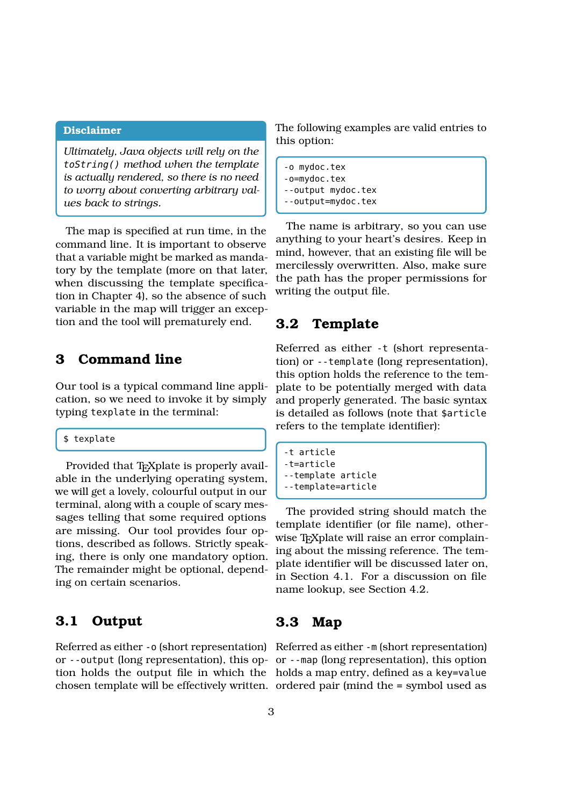#### **Disclaimer**

*Ultimately, Java objects will rely on the* toString() *method when the template is actually rendered, so there is no need to worry about converting arbitrary values back to strings.*

The map is specified at run time, in the command line. It is important to observe that a variable might be marked as mandatory by the template (more on that later, when discussing the template specification in Chapter 4), so the absence of such variable in the map will trigger an exception and the tool will prematurely end.

## **3 Command line**

Our tool is a typical command line application, so we need to invoke it by simply typing texplate in the terminal:

#### \$ texplate

Provided that T<sub>E</sub>Xplate is properly available in the underlying operating system, we will get a lovely, colourful output in our terminal, along with a couple of scary messages telling that some required options are missing. Our tool provides four options, described as follows. Strictly speaking, there is only one mandatory option. The remainder might be optional, depending on certain scenarios.

### **3.1 Output**

The following examples are valid entries to this option:

-o mydoc.tex -o=mydoc.tex --output mydoc.tex --output=mydoc.tex

The name is arbitrary, so you can use anything to your heart's desires. Keep in mind, however, that an existing file will be mercilessly overwritten. Also, make sure the path has the proper permissions for writing the output file.

#### **3.2 Template**

Referred as either -t (short representation) or --template (long representation), this option holds the reference to the template to be potentially merged with data and properly generated. The basic syntax is detailed as follows (note that \$article refers to the template identifier):

```
-t article
-t=article
--template article
--template=article
```
The provided string should match the template identifier (or file name), otherwise T<sub>E</sub>Xplate will raise an error complaining about the missing reference. The template identifier will be discussed later on, in Section 4.1. For a discussion on file name lookup, see Section 4.2.

#### **3.3 Map**

Referred as either -o (short representation) Referred as either -m (short representation) or --output (long representation), this op-or --map (long representation), this option tion holds the output file in which the holds a map entry, defined as a key=value chosen template will be effectively written. ordered pair (mind the = symbol used as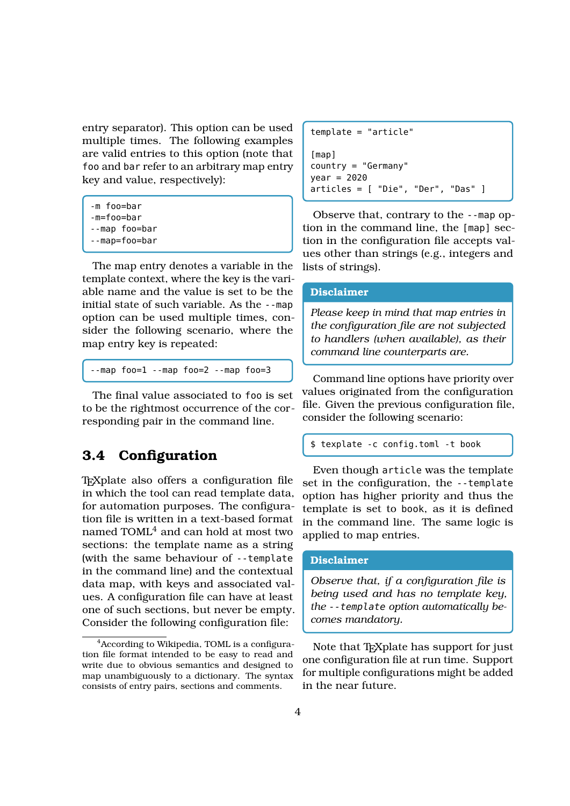entry separator). This option can be used multiple times. The following examples are valid entries to this option (note that foo and bar refer to an arbitrary map entry key and value, respectively):

```
-m foo=bar
```
- -m=foo=bar
- --map foo=bar
- --map=foo=bar

The map entry denotes a variable in the template context, where the key is the variable name and the value is set to be the initial state of such variable. As the --map option can be used multiple times, consider the following scenario, where the map entry key is repeated:

--map foo=1 --map foo=2 --map foo=3

The final value associated to foo is set to be the rightmost occurrence of the corresponding pair in the command line.

## **3.4 Configuration**

T<sub>E</sub>Xplate also offers a configuration file in which the tool can read template data, for automation purposes. The configuration file is written in a text-based format named TOML<sup>4</sup> and can hold at most two sections: the template name as a string (with the same behaviour of --template in the command line) and the contextual data map, with keys and associated values. A configuration file can have at least one of such sections, but never be empty. Consider the following configuration file:

```
template = "article"
[map]
country = "Germany"
year = 2020articles = [ "Die", "Der", "Das" ]
```
Observe that, contrary to the --map option in the command line, the [map] section in the configuration file accepts values other than strings (e.g., integers and lists of strings).

#### **Disclaimer**

*Please keep in mind that map entries in the configuration file are not subjected to handlers (when available), as their command line counterparts are.*

Command line options have priority over values originated from the configuration file. Given the previous configuration file, consider the following scenario:

\$ texplate -c config.toml -t book

Even though article was the template set in the configuration, the --template option has higher priority and thus the template is set to book, as it is defined in the command line. The same logic is applied to map entries.

#### **Disclaimer**

*Observe that, if a configuration file is being used and has no template key, the* --template *option automatically becomes mandatory.*

Note that  $T_F X$ plate has support for just one configuration file at run time. Support for multiple configurations might be added in the near future.

<sup>&</sup>lt;sup>4</sup> According to Wikipedia, TOML is a configuration file format intended to be easy to read and write due to obvious semantics and designed to map unambiguously to a dictionary. The syntax consists of entry pairs, sections and comments.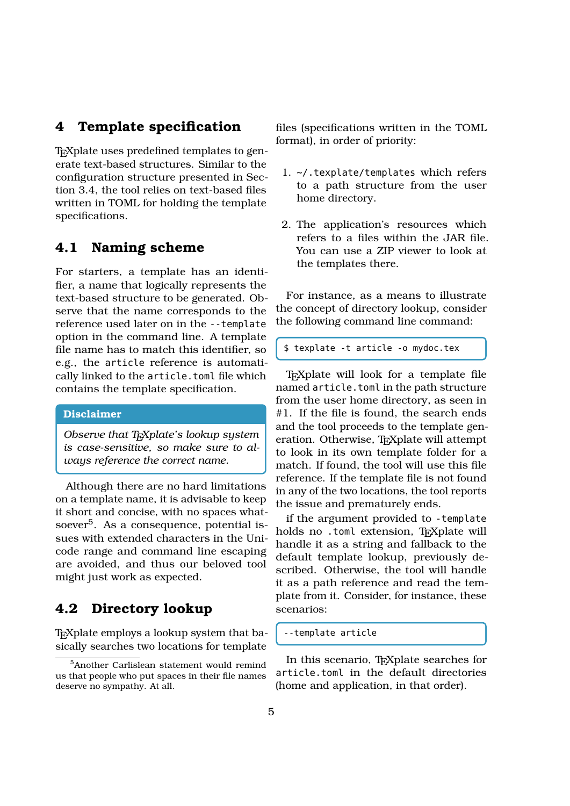### **4 Template specification**

T<sub>E</sub>Xplate uses predefined templates to generate text-based structures. Similar to the configuration structure presented in Section 3.4, the tool relies on text-based files written in TOML for holding the template specifications.

#### **4.1 Naming scheme**

For starters, a template has an identifier, a name that logically represents the text-based structure to be generated. Observe that the name corresponds to the reference used later on in the --template option in the command line. A template file name has to match this identifier, so e.g., the article reference is automatically linked to the article.toml file which contains the template specification.

#### **Disclaimer**

*Observe that TEXplate's lookup system is case-sensitive, so make sure to always reference the correct name.*

Although there are no hard limitations on a template name, it is advisable to keep it short and concise, with no spaces whatsoever<sup>5</sup>. As a consequence, potential issues with extended characters in the Unicode range and command line escaping are avoided, and thus our beloved tool might just work as expected.

## **4.2 Directory lookup**

T<sub>E</sub>Xplate employs a lookup system that basically searches two locations for template files (specifications written in the TOML format), in order of priority:

- 1. ~/.texplate/templates which refers to a path structure from the user home directory.
- 2. The application's resources which refers to a files within the JAR file. You can use a ZIP viewer to look at the templates there.

For instance, as a means to illustrate the concept of directory lookup, consider the following command line command:

```
$ texplate -t article -o mydoc.tex
```
T<sub>E</sub>Xplate will look for a template file named article.toml in the path structure from the user home directory, as seen in #1. If the file is found, the search ends and the tool proceeds to the template generation. Otherwise, TEXplate will attempt to look in its own template folder for a match. If found, the tool will use this file reference. If the template file is not found in any of the two locations, the tool reports the issue and prematurely ends.

if the argument provided to -template holds no .toml extension, TEXplate will handle it as a string and fallback to the default template lookup, previously described. Otherwise, the tool will handle it as a path reference and read the template from it. Consider, for instance, these scenarios:

```
--template article
```
In this scenario, T<sub>E</sub>Xplate searches for article.toml in the default directories (home and application, in that order).

<sup>5</sup>Another Carlislean statement would remind us that people who put spaces in their file names deserve no sympathy. At all.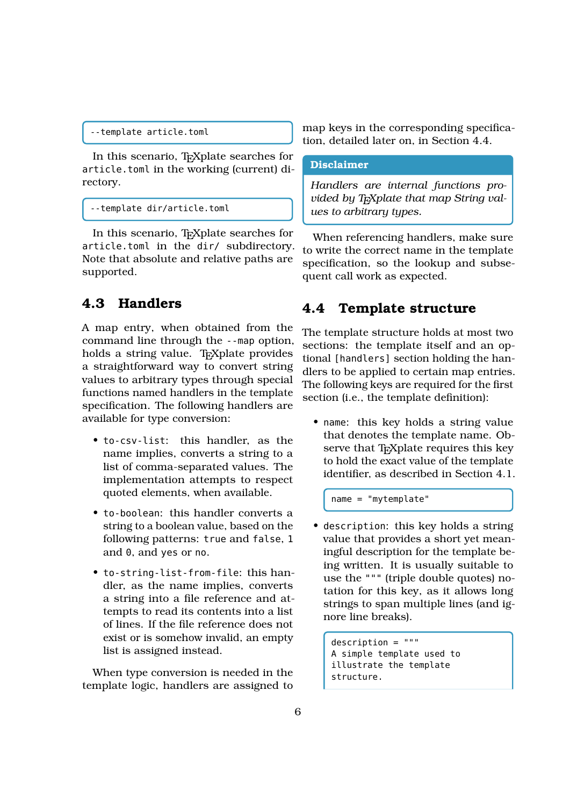```
--template article.toml
```
In this scenario, T<sub>E</sub>Xplate searches for article.toml in the working (current) directory.

```
--template dir/article.toml
```
In this scenario, T<sub>E</sub>Xplate searches for article.toml in the dir/ subdirectory. Note that absolute and relative paths are supported.

### **4.3 Handlers**

A map entry, when obtained from the command line through the --map option, holds a string value. T<sub>E</sub>Xplate provides a straightforward way to convert string values to arbitrary types through special functions named handlers in the template specification. The following handlers are available for type conversion:

- to-csv-list: this handler, as the name implies, converts a string to a list of comma-separated values. The implementation attempts to respect quoted elements, when available.
- to-boolean: this handler converts a string to a boolean value, based on the following patterns: true and false, 1 and 0, and yes or no.
- to-string-list-from-file: this handler, as the name implies, converts a string into a file reference and attempts to read its contents into a list of lines. If the file reference does not exist or is somehow invalid, an empty list is assigned instead.

When type conversion is needed in the template logic, handlers are assigned to

map keys in the corresponding specification, detailed later on, in Section 4.4.

#### **Disclaimer**

*Handlers are internal functions provided by T<sub>E</sub>Xplate that map String values to arbitrary types.*

When referencing handlers, make sure to write the correct name in the template specification, so the lookup and subsequent call work as expected.

#### **4.4 Template structure**

The template structure holds at most two sections: the template itself and an optional [handlers] section holding the handlers to be applied to certain map entries. The following keys are required for the first section (i.e., the template definition):

• name: this key holds a string value that denotes the template name. Observe that TEXplate requires this key to hold the exact value of the template identifier, as described in Section 4.1.

name = "mytemplate"

• description: this key holds a string value that provides a short yet meaningful description for the template being written. It is usually suitable to use the """ (triple double quotes) notation for this key, as it allows long strings to span multiple lines (and ignore line breaks).

```
description = """
A simple template used to
illustrate the template
structure.
```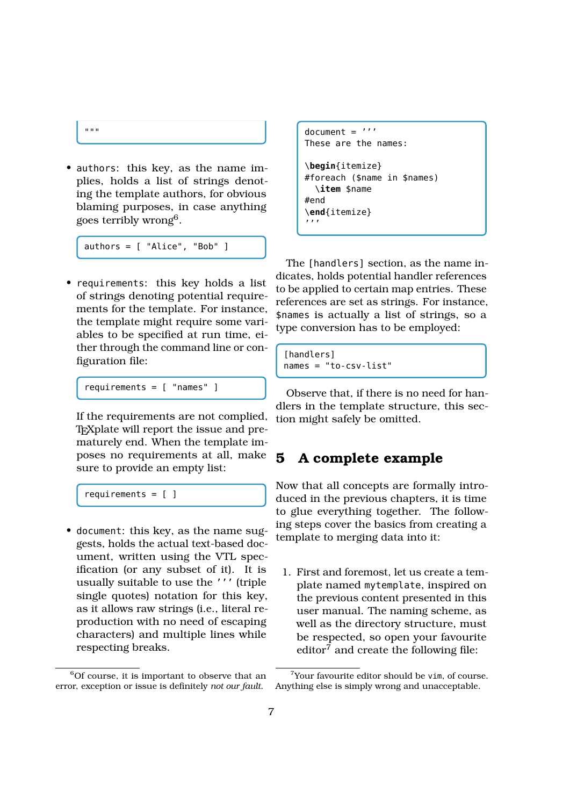```
"" ""
```
• authors: this key, as the name implies, holds a list of strings denoting the template authors, for obvious blaming purposes, in case anything goes terribly wrong<sup>6</sup>.

authors = [ "Alice", "Bob" ]

• requirements: this key holds a list of strings denoting potential requirements for the template. For instance, the template might require some variables to be specified at run time, either through the command line or configuration file:

requirements = [ "names" ]

If the requirements are not complied, T<sub>E</sub>Xplate will report the issue and prematurely end. When the template imposes no requirements at all, make  $\overline{5}$ sure to provide an empty list:

requirements =  $[ ]$ 

• document: this key, as the name suggests, holds the actual text-based document, written using the VTL specification (or any subset of it). It is usually suitable to use the ''' (triple single quotes) notation for this key, as it allows raw strings (i.e., literal reproduction with no need of escaping characters) and multiple lines while respecting breaks.

```
document = '''
These are the names:
\begin{itemize}
#foreach ($name in $names)
  \item $name
#end
\end{itemize}
'''
```
The [handlers] section, as the name indicates, holds potential handler references to be applied to certain map entries. These references are set as strings. For instance, \$names is actually a list of strings, so a type conversion has to be employed:

```
[handlers]
names = "to-csv-list"
```
Observe that, if there is no need for handlers in the template structure, this section might safely be omitted.

## **5 A complete example**

Now that all concepts are formally introduced in the previous chapters, it is time to glue everything together. The following steps cover the basics from creating a template to merging data into it:

1. First and foremost, let us create a template named mytemplate, inspired on the previous content presented in this user manual. The naming scheme, as well as the directory structure, must be respected, so open your favourite editor $\bar{7}$  and create the following file:

 $6$ Of course, it is important to observe that an error, exception or issue is definitely *not our fault*.

<sup>7</sup>Your favourite editor should be vim, of course. Anything else is simply wrong and unacceptable.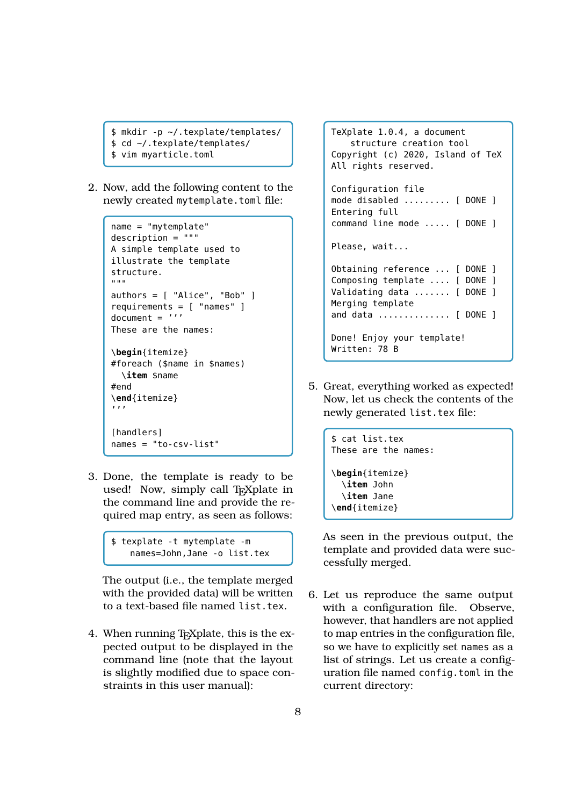```
$ mkdir -p ~/.texplate/templates/
$ cd ~/.texplate/templates/
$ vim myarticle.toml
```
2. Now, add the following content to the newly created mytemplate.toml file:

```
name = "mytemplate"
description = """
A simple template used to
illustrate the template
structure.
^{\rm m} m ^{\rm m}authors = [ "Alice", "Bob" ]
requirements = [ "names" ]
document = '''These are the names:
\begin{itemize}
#foreach ($name in $names)
  \item $name
#end
\end{itemize}
'''
[handlers]
names = "to-csv-list"
```
3. Done, the template is ready to be used! Now, simply call T<sub>E</sub>Xplate in the command line and provide the required map entry, as seen as follows:

```
$ texplate -t mytemplate -m
   names=John,Jane -o list.tex
```
The output (i.e., the template merged with the provided data) will be written to a text-based file named list.tex.

4. When running T<sub>E</sub>X plate, this is the expected output to be displayed in the command line (note that the layout is slightly modified due to space constraints in this user manual):

TeXplate 1.0.4, a document structure creation tool Copyright (c) 2020, Island of TeX All rights reserved. Configuration file mode disabled ......... [ DONE ] Entering full command line mode ..... [ DONE ] Please, wait... Obtaining reference ... [ DONE ] Composing template .... [ DONE ] Validating data ....... [ DONE ] Merging template and data .............. [ DONE ] Done! Enjoy your template! Written: 78 B

5. Great, everything worked as expected! Now, let us check the contents of the newly generated list.tex file:

```
$ cat list.tex
These are the names:
\begin{itemize}
  \item John
  \item Jane
\end{itemize}
```
As seen in the previous output, the template and provided data were successfully merged.

6. Let us reproduce the same output with a configuration file. Observe, however, that handlers are not applied to map entries in the configuration file, so we have to explicitly set names as a list of strings. Let us create a configuration file named config.toml in the current directory: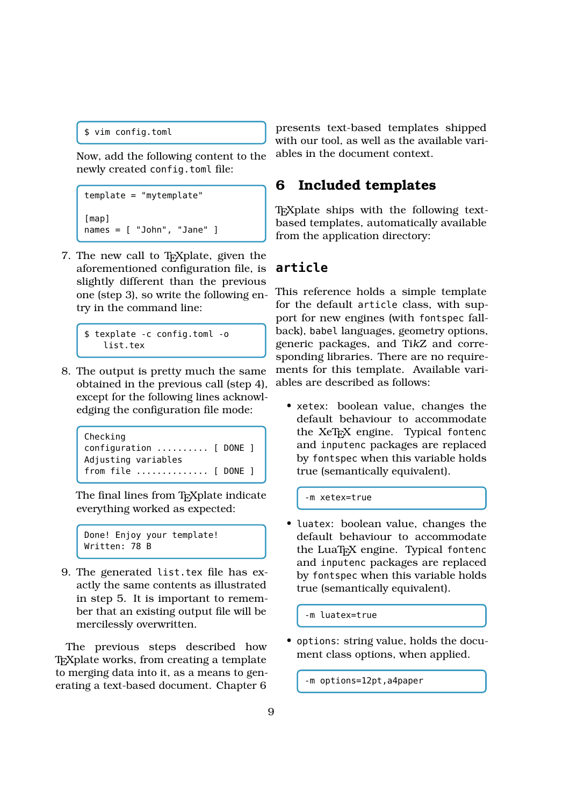```
$ vim config.toml
```
Now, add the following content to the newly created config.toml file:

```
template = "mytemplate"
[map]
names = [ "John", "Jane" ]
```
7. The new call to TEXplate, given the aforementioned configuration file, is slightly different than the previous one (step 3), so write the following entry in the command line:

```
$ texplate -c config.toml -o
   list.tex
```
8. The output is pretty much the same obtained in the previous call (step 4), except for the following lines acknowledging the configuration file mode:

```
Checking
configuration .......... [ DONE ]
Adjusting variables
from file .............. [ DONE ]
```
The final lines from T<sub>E</sub>Xplate indicate everything worked as expected:

```
Done! Enjoy your template!
Written: 78 B
```
9. The generated list.tex file has exactly the same contents as illustrated in step 5. It is important to remember that an existing output file will be mercilessly overwritten.

The previous steps described how T<sub>E</sub>Xplate works, from creating a template to merging data into it, as a means to generating a text-based document. Chapter 6 presents text-based templates shipped with our tool, as well as the available variables in the document context.

## **6 Included templates**

T<sub>E</sub>Xplate ships with the following textbased templates, automatically available from the application directory:

## **article**

This reference holds a simple template for the default article class, with support for new engines (with fontspec fallback), babel languages, geometry options, generic packages, and Ti*k*Z and corresponding libraries. There are no requirements for this template. Available variables are described as follows:

• xetex: boolean value, changes the default behaviour to accommodate the XeT<sub>E</sub>X engine. Typical fontenc and inputenc packages are replaced by fontspec when this variable holds true (semantically equivalent).

-m xetex=true

• luatex: boolean value, changes the default behaviour to accommodate the LuaT<sub>E</sub>X engine. Typical fontenc and inputenc packages are replaced by fontspec when this variable holds true (semantically equivalent).

-m luatex=true

• options: string value, holds the document class options, when applied.

-m options=12pt,a4paper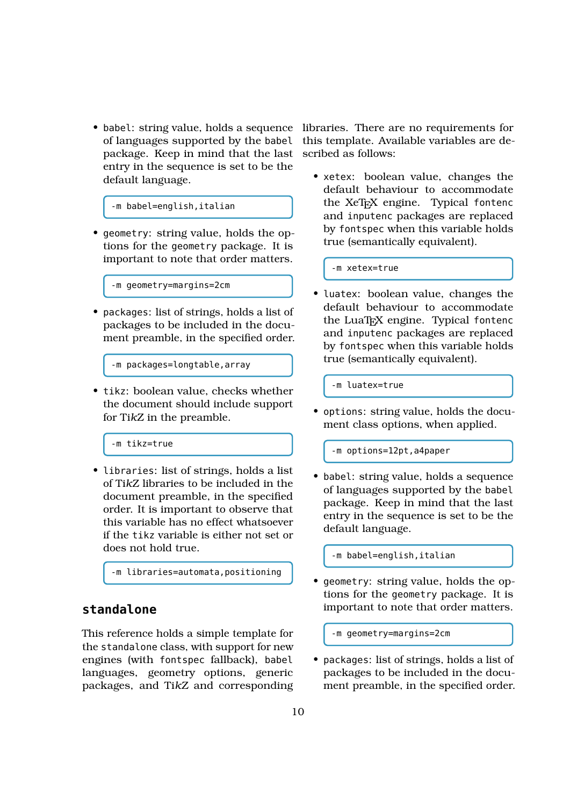of languages supported by the babel package. Keep in mind that the last scribed as follows: entry in the sequence is set to be the default language.

-m babel=english,italian

• geometry: string value, holds the options for the geometry package. It is important to note that order matters.

-m geometry=margins=2cm

• packages: list of strings, holds a list of packages to be included in the document preamble, in the specified order.

-m packages=longtable,array

• tikz: boolean value, checks whether the document should include support for Ti*k*Z in the preamble.

-m tikz=true

• libraries: list of strings, holds a list of Ti*k*Z libraries to be included in the document preamble, in the specified order. It is important to observe that this variable has no effect whatsoever if the tikz variable is either not set or does not hold true.

-m libraries=automata,positioning

### **standalone**

This reference holds a simple template for the standalone class, with support for new engines (with fontspec fallback), babel languages, geometry options, generic packages, and Ti*k*Z and corresponding

• babel: string value, holds a sequence libraries. There are no requirements for this template. Available variables are de-

> • xetex: boolean value, changes the default behaviour to accommodate the XeTEX engine. Typical fontenc and inputenc packages are replaced by fontspec when this variable holds true (semantically equivalent).

-m xetex=true

• luatex: boolean value, changes the default behaviour to accommodate the LuaT<sub>E</sub>X engine. Typical fontenc and inputenc packages are replaced by fontspec when this variable holds true (semantically equivalent).

-m luatex=true

• options: string value, holds the document class options, when applied.

-m options=12pt,a4paper

• babel: string value, holds a sequence of languages supported by the babel package. Keep in mind that the last entry in the sequence is set to be the default language.

-m babel=english,italian

• geometry: string value, holds the options for the geometry package. It is important to note that order matters.

-m geometry=margins=2cm

• packages: list of strings, holds a list of packages to be included in the document preamble, in the specified order.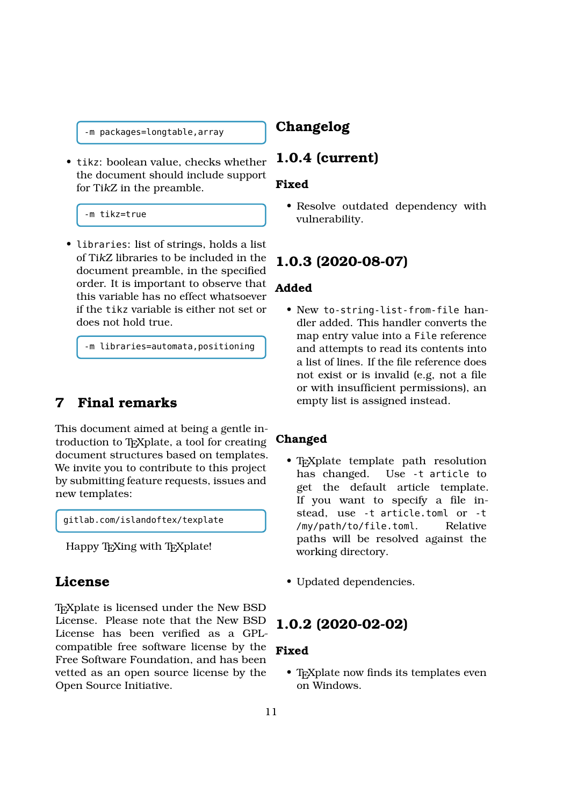-m packages=longtable,array

• tikz: boolean value, checks whether the document should include support for Ti*k*Z in the preamble.

-m tikz=true

• libraries: list of strings, holds a list of Ti*k*Z libraries to be included in the document preamble, in the specified order. It is important to observe that this variable has no effect whatsoever if the tikz variable is either not set or does not hold true.

-m libraries=automata,positioning

## **7 Final remarks**

This document aimed at being a gentle introduction to T<sub>E</sub>Xplate, a tool for creating document structures based on templates. We invite you to contribute to this project by submitting feature requests, issues and new templates:

gitlab.com/islandoftex/texplate

Happy T<sub>E</sub>Xing with T<sub>E</sub>Xplate!

### **License**

T<sub>E</sub>Xplate is licensed under the New BSD License. Please note that the New BSD License has been verified as a GPLcompatible free software license by the Free Software Foundation, and has been vetted as an open source license by the Open Source Initiative.

## **Changelog**

### **1.0.4 (current)**

#### **Fixed**

• Resolve outdated dependency with vulnerability.

#### **1.0.3 (2020-08-07)**

#### **Added**

• New to-string-list-from-file handler added. This handler converts the map entry value into a File reference and attempts to read its contents into a list of lines. If the file reference does not exist or is invalid (e.g, not a file or with insufficient permissions), an empty list is assigned instead.

#### **Changed**

- T<sub>E</sub>Xplate template path resolution<br>has changed. Use -t article to Use -t article to get the default article template. If you want to specify a file instead, use -t article.toml or -t /my/path/to/file.toml. Relative paths will be resolved against the working directory.
- Updated dependencies.

#### **1.0.2 (2020-02-02)**

#### **Fixed**

• T<sub>E</sub>Xplate now finds its templates even on Windows.